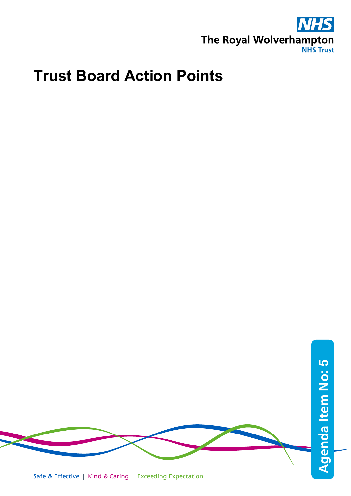

## **Trust Board Action Points**

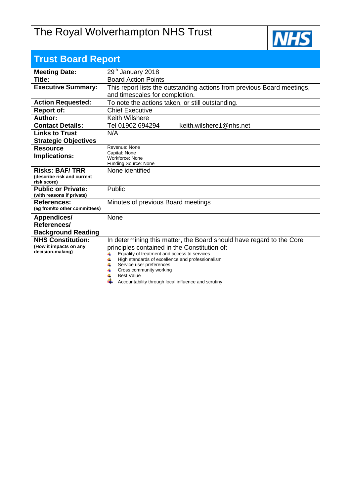## The Royal Wolverhampton NHS Trust



| <b>Trust Board Report</b>                  |                                                                                                               |  |  |  |  |  |
|--------------------------------------------|---------------------------------------------------------------------------------------------------------------|--|--|--|--|--|
| <b>Meeting Date:</b>                       | 29 <sup>th</sup> January 2018                                                                                 |  |  |  |  |  |
| Title:                                     | <b>Board Action Points</b>                                                                                    |  |  |  |  |  |
| <b>Executive Summary:</b>                  | This report lists the outstanding actions from previous Board meetings,                                       |  |  |  |  |  |
|                                            | and timescales for completion.                                                                                |  |  |  |  |  |
| <b>Action Requested:</b>                   | To note the actions taken, or still outstanding.                                                              |  |  |  |  |  |
| <b>Report of:</b>                          | <b>Chief Executive</b>                                                                                        |  |  |  |  |  |
| Author:                                    | <b>Keith Wilshere</b>                                                                                         |  |  |  |  |  |
| <b>Contact Details:</b>                    | keith.wilshere1@nhs.net<br>Tel 01902 694294                                                                   |  |  |  |  |  |
| <b>Links to Trust</b>                      | N/A                                                                                                           |  |  |  |  |  |
| <b>Strategic Objectives</b>                |                                                                                                               |  |  |  |  |  |
| <b>Resource</b>                            | Revenue: None                                                                                                 |  |  |  |  |  |
| Implications:                              | Capital: None<br>Workforce: None                                                                              |  |  |  |  |  |
|                                            | Funding Source: None                                                                                          |  |  |  |  |  |
| <b>Risks: BAF/TRR</b>                      | None identified                                                                                               |  |  |  |  |  |
| (describe risk and current<br>risk score)  |                                                                                                               |  |  |  |  |  |
| <b>Public or Private:</b>                  | Public                                                                                                        |  |  |  |  |  |
| (with reasons if private)                  |                                                                                                               |  |  |  |  |  |
| <b>References:</b>                         | Minutes of previous Board meetings                                                                            |  |  |  |  |  |
| (eg from/to other committees)              |                                                                                                               |  |  |  |  |  |
| <b>Appendices/</b>                         | None                                                                                                          |  |  |  |  |  |
| References/                                |                                                                                                               |  |  |  |  |  |
| <b>Background Reading</b>                  |                                                                                                               |  |  |  |  |  |
| <b>NHS Constitution:</b>                   | In determining this matter, the Board should have regard to the Core                                          |  |  |  |  |  |
| (How it impacts on any<br>decision-making) | principles contained in the Constitution of:<br>4                                                             |  |  |  |  |  |
|                                            | Equality of treatment and access to services<br>$\ddot{}$<br>High standards of excellence and professionalism |  |  |  |  |  |
|                                            | 4<br>Service user preferences                                                                                 |  |  |  |  |  |
|                                            | Cross community working<br><b>Best Value</b>                                                                  |  |  |  |  |  |
|                                            | Accountability through local influence and scrutiny                                                           |  |  |  |  |  |